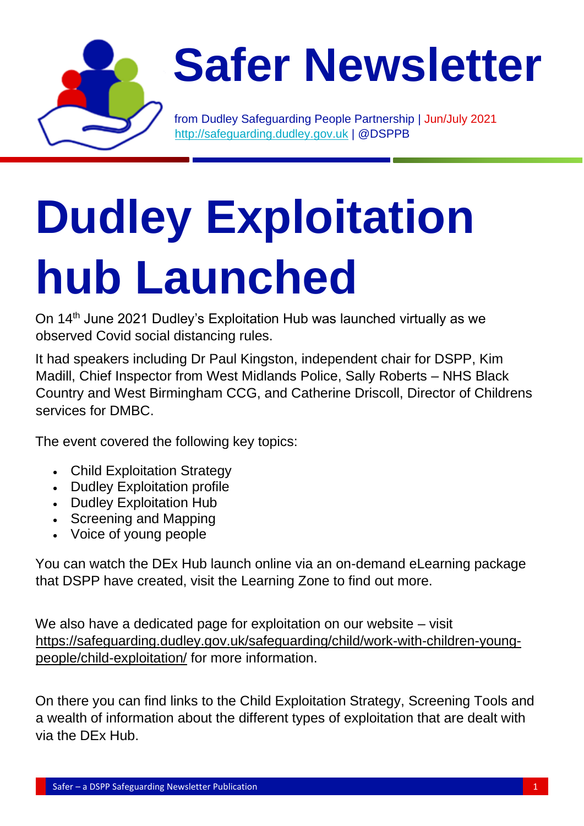

## **Safer Newsletter**

from Dudley Safeguarding People Partnership | Jun/July 2021 [http://safeguarding.dudley.gov.uk](http://safeguarding.dudley.gov.uk/) | @DSPPB

# **Dudley Exploitation hub Launched**

On 14<sup>th</sup> June 2021 Dudley's Exploitation Hub was launched virtually as we observed Covid social distancing rules.

It had speakers including Dr Paul Kingston, independent chair for DSPP, Kim Madill, Chief Inspector from West Midlands Police, Sally Roberts – NHS Black Country and West Birmingham CCG, and Catherine Driscoll, Director of Childrens services for DMBC.

The event covered the following key topics:

- Child Exploitation Strategy
- Dudley Exploitation profile
- Dudley Exploitation Hub
- Screening and Mapping
- Voice of young people

You can watch the DEx Hub launch online via an on-demand eLearning package that DSPP have created, visit the Learning Zone to find out more.

We also have a dedicated page for exploitation on our website – visit [https://safeguarding.dudley.gov.uk/safeguarding/child/work-with-children-young](https://safeguarding.dudley.gov.uk/safeguarding/child/work-with-children-young-people/child-exploitation/)[people/child-exploitation/](https://safeguarding.dudley.gov.uk/safeguarding/child/work-with-children-young-people/child-exploitation/) for more information.

On there you can find links to the Child Exploitation Strategy, Screening Tools and a wealth of information about the different types of exploitation that are dealt with via the DEx Hub.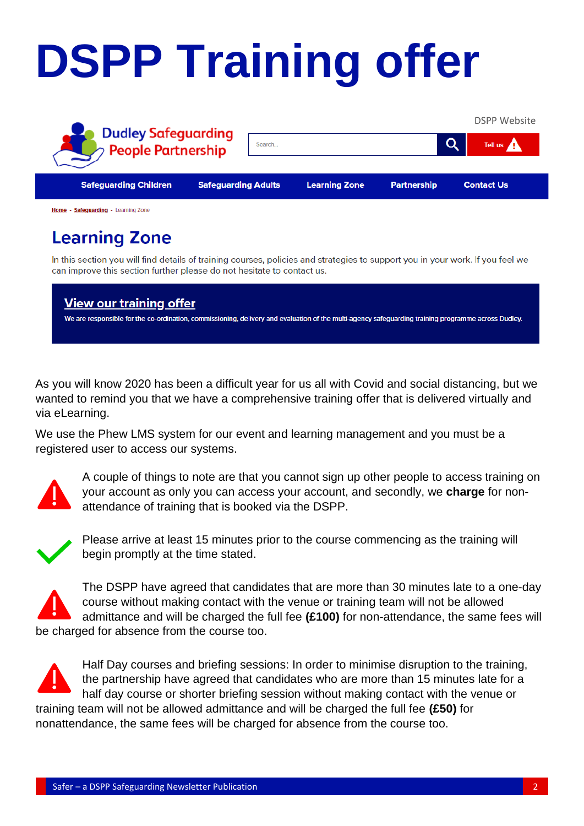# **DSPP Training offer**



#### **Learning Zone**

In this section you will find details of training courses, policies and strategies to support you in your work. If you feel we can improve this section further please do not hesitate to contact us.

**View our training offer** We are responsible for the co-ordination, commissioning, delivery and evaluation of the multi-agency safeguarding training programme across Dudley.

As you will know 2020 has been a difficult year for us all with Covid and social distancing, but we wanted to remind you that we have a comprehensive training offer that is delivered virtually and via eLearning.

We use the Phew LMS system for our event and learning management and you must be a registered user to access our systems.



A couple of things to note are that you cannot sign up other people to access training on your account as only you can access your account, and secondly, we **charge** for nonattendance of training that is booked via the DSPP.



Please arrive at least 15 minutes prior to the course commencing as the training will begin promptly at the time stated.



The DSPP have agreed that candidates that are more than 30 minutes late to a one-day course without making contact with the venue or training team will not be allowed admittance and will be charged the full fee **(£100)** for non-attendance, the same fees will be charged for absence from the course too.

Half Day courses and briefing sessions: In order to minimise disruption to the training, the partnership have agreed that candidates who are more than 15 minutes late for a half day course or shorter briefing session without making contact with the venue or training team will not be allowed admittance and will be charged the full fee **(£50)** for nonattendance, the same fees will be charged for absence from the course too.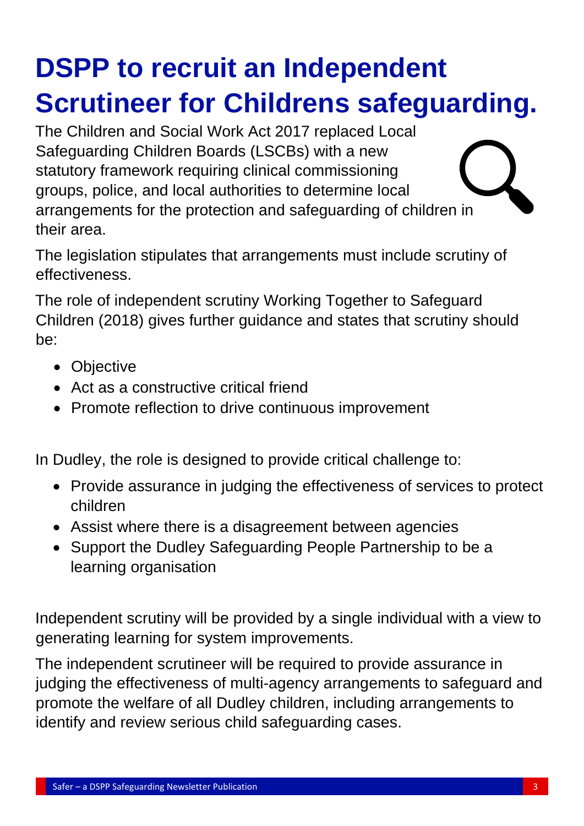### **DSPP to recruit an Independent Scrutineer for Childrens safeguarding.**

The Children and Social Work Act 2017 replaced Local Safeguarding Children Boards (LSCBs) with a new statutory framework requiring clinical commissioning groups, police, and local authorities to determine local arrangements for the protection and safeguarding of children in their area.

The legislation stipulates that arrangements must include scrutiny of effectiveness.

The role of independent scrutiny Working Together to Safeguard Children (2018) gives further guidance and states that scrutiny should be:

- Objective
- Act as a constructive critical friend
- Promote reflection to drive continuous improvement

In Dudley, the role is designed to provide critical challenge to:

- Provide assurance in judging the effectiveness of services to protect children
- Assist where there is a disagreement between agencies
- Support the Dudley Safeguarding People Partnership to be a learning organisation

Independent scrutiny will be provided by a single individual with a view to generating learning for system improvements.

The independent scrutineer will be required to provide assurance in judging the effectiveness of multi-agency arrangements to safeguard and promote the welfare of all Dudley children, including arrangements to identify and review serious child safeguarding cases.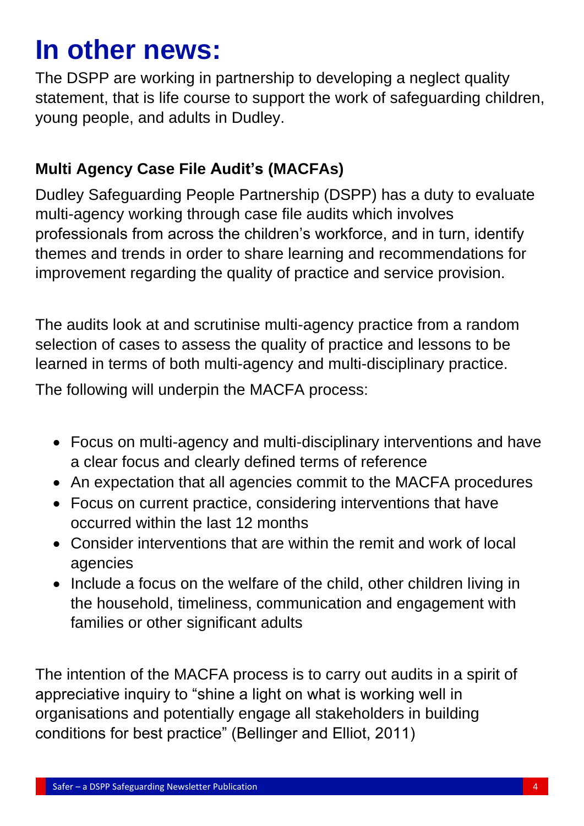### **In other news:**

The DSPP are working in partnership to developing a neglect quality statement, that is life course to support the work of safeguarding children, young people, and adults in Dudley.

#### **Multi Agency Case File Audit's (MACFAs)**

Dudley Safeguarding People Partnership (DSPP) has a duty to evaluate multi-agency working through case file audits which involves professionals from across the children's workforce, and in turn, identify themes and trends in order to share learning and recommendations for improvement regarding the quality of practice and service provision.

The audits look at and scrutinise multi-agency practice from a random selection of cases to assess the quality of practice and lessons to be learned in terms of both multi-agency and multi-disciplinary practice.

The following will underpin the MACFA process:

- Focus on multi-agency and multi-disciplinary interventions and have a clear focus and clearly defined terms of reference
- An expectation that all agencies commit to the MACFA procedures
- Focus on current practice, considering interventions that have occurred within the last 12 months
- Consider interventions that are within the remit and work of local agencies
- Include a focus on the welfare of the child, other children living in the household, timeliness, communication and engagement with families or other significant adults

The intention of the MACFA process is to carry out audits in a spirit of appreciative inquiry to "shine a light on what is working well in organisations and potentially engage all stakeholders in building conditions for best practice" (Bellinger and Elliot, 2011)